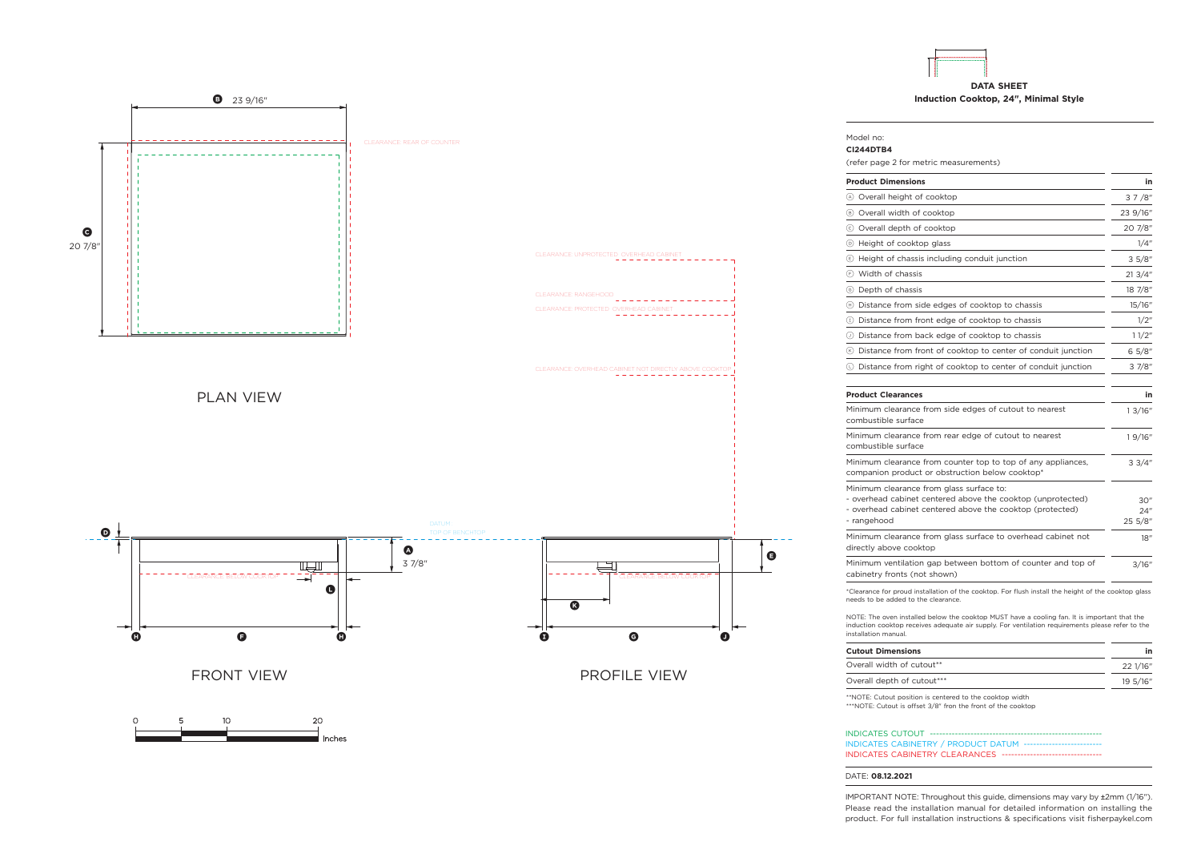







## INDICATES CABINETRY / PRODUCT DATUM --INDICATES CABINETRY CLEARANCES -----

\*\*NOTE: Cutout position is centered to the cooktop width \*\*\*NOTE: Cutout is offset 3/8" fron the front of the cooktop

## DATE: **08.12.2021**

INDICATES CUTOUT ---

IMPORTANT NOTE: Throughout this guide, dimensions may vary by ±2mm (1/16''). Please read the installation manual for detailed information on installing the product. For full installation instructions & specifications visit fisherpaykel.com

Overall depth of cutout\*\*\* 195/16"

1 3/16"

1 9/16"

3 3/4"

 $30"$ 24" 25 5/8"

18"

3/16"